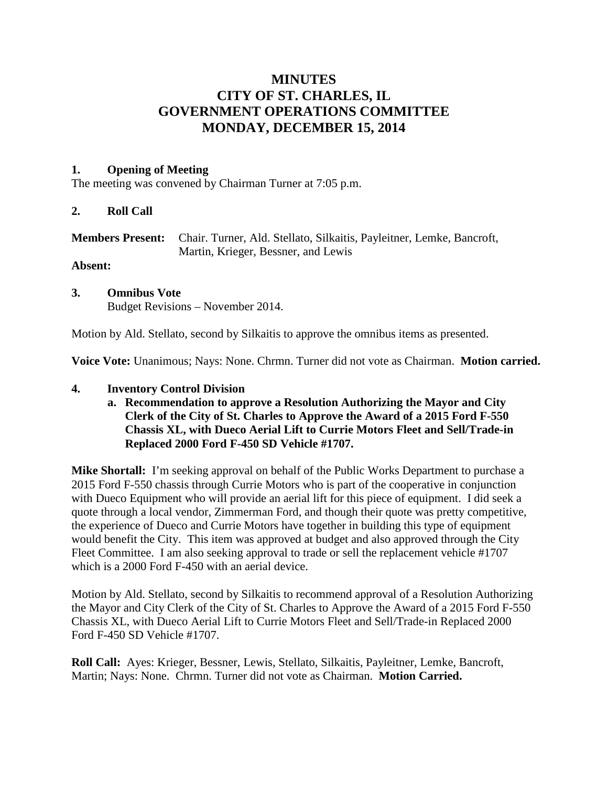# **MINUTES CITY OF ST. CHARLES, IL GOVERNMENT OPERATIONS COMMITTEE MONDAY, DECEMBER 15, 2014**

### **1. Opening of Meeting**

The meeting was convened by Chairman Turner at 7:05 p.m.

#### **2. Roll Call**

| <b>Members Present:</b> Chair. Turner, Ald. Stellato, Silkaitis, Payleitner, Lemke, Bancroft, |
|-----------------------------------------------------------------------------------------------|
| Martin, Krieger, Bessner, and Lewis                                                           |

**Absent:**

**3. Omnibus Vote** Budget Revisions – November 2014.

Motion by Ald. Stellato, second by Silkaitis to approve the omnibus items as presented.

**Voice Vote:** Unanimous; Nays: None. Chrmn. Turner did not vote as Chairman. **Motion carried.**

#### **4. Inventory Control Division**

**a. Recommendation to approve a Resolution Authorizing the Mayor and City Clerk of the City of St. Charles to Approve the Award of a 2015 Ford F-550 Chassis XL, with Dueco Aerial Lift to Currie Motors Fleet and Sell/Trade-in Replaced 2000 Ford F-450 SD Vehicle #1707.**

**Mike Shortall:** I'm seeking approval on behalf of the Public Works Department to purchase a 2015 Ford F-550 chassis through Currie Motors who is part of the cooperative in conjunction with Dueco Equipment who will provide an aerial lift for this piece of equipment. I did seek a quote through a local vendor, Zimmerman Ford, and though their quote was pretty competitive, the experience of Dueco and Currie Motors have together in building this type of equipment would benefit the City. This item was approved at budget and also approved through the City Fleet Committee. I am also seeking approval to trade or sell the replacement vehicle #1707 which is a 2000 Ford F-450 with an aerial device.

Motion by Ald. Stellato, second by Silkaitis to recommend approval of a Resolution Authorizing the Mayor and City Clerk of the City of St. Charles to Approve the Award of a 2015 Ford F-550 Chassis XL, with Dueco Aerial Lift to Currie Motors Fleet and Sell/Trade-in Replaced 2000 Ford F-450 SD Vehicle #1707.

**Roll Call:** Ayes: Krieger, Bessner, Lewis, Stellato, Silkaitis, Payleitner, Lemke, Bancroft, Martin; Nays: None. Chrmn. Turner did not vote as Chairman. **Motion Carried.**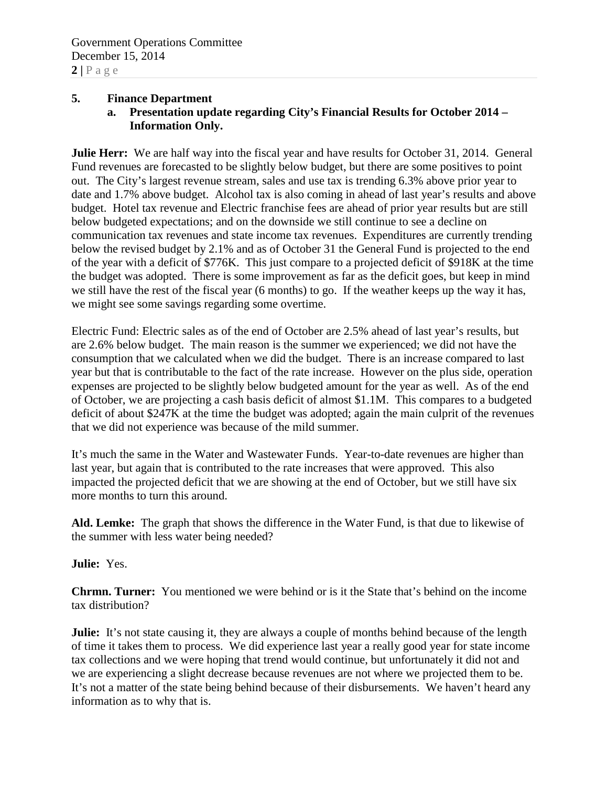#### **5. Finance Department**

**a. Presentation update regarding City's Financial Results for October 2014 – Information Only.**

**Julie Herr:** We are half way into the fiscal year and have results for October 31, 2014. General Fund revenues are forecasted to be slightly below budget, but there are some positives to point out. The City's largest revenue stream, sales and use tax is trending 6.3% above prior year to date and 1.7% above budget. Alcohol tax is also coming in ahead of last year's results and above budget. Hotel tax revenue and Electric franchise fees are ahead of prior year results but are still below budgeted expectations; and on the downside we still continue to see a decline on communication tax revenues and state income tax revenues. Expenditures are currently trending below the revised budget by 2.1% and as of October 31 the General Fund is projected to the end of the year with a deficit of \$776K. This just compare to a projected deficit of \$918K at the time the budget was adopted. There is some improvement as far as the deficit goes, but keep in mind we still have the rest of the fiscal year (6 months) to go. If the weather keeps up the way it has, we might see some savings regarding some overtime.

Electric Fund: Electric sales as of the end of October are 2.5% ahead of last year's results, but are 2.6% below budget. The main reason is the summer we experienced; we did not have the consumption that we calculated when we did the budget. There is an increase compared to last year but that is contributable to the fact of the rate increase. However on the plus side, operation expenses are projected to be slightly below budgeted amount for the year as well. As of the end of October, we are projecting a cash basis deficit of almost \$1.1M. This compares to a budgeted deficit of about \$247K at the time the budget was adopted; again the main culprit of the revenues that we did not experience was because of the mild summer.

It's much the same in the Water and Wastewater Funds. Year-to-date revenues are higher than last year, but again that is contributed to the rate increases that were approved. This also impacted the projected deficit that we are showing at the end of October, but we still have six more months to turn this around.

**Ald. Lemke:** The graph that shows the difference in the Water Fund, is that due to likewise of the summer with less water being needed?

**Julie:** Yes.

**Chrmn. Turner:** You mentioned we were behind or is it the State that's behind on the income tax distribution?

**Julie:** It's not state causing it, they are always a couple of months behind because of the length of time it takes them to process. We did experience last year a really good year for state income tax collections and we were hoping that trend would continue, but unfortunately it did not and we are experiencing a slight decrease because revenues are not where we projected them to be. It's not a matter of the state being behind because of their disbursements. We haven't heard any information as to why that is.